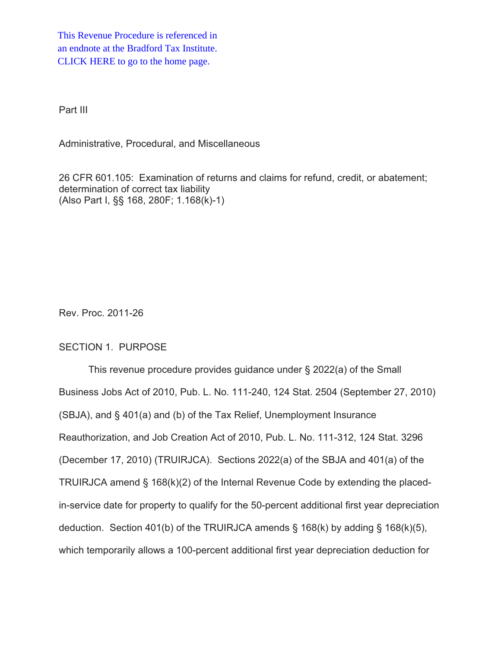This Revenue Procedure is referenced in [an endnote at the Bradford Tax Institute.](http://bradfordtaxinstitute.com/index1.aspx)  CLICK HERE to go to the home page.

Part III

Administrative, Procedural, and Miscellaneous

26 CFR 601.105: Examination of returns and claims for refund, credit, or abatement; determination of correct tax liability (Also Part I, §§ 168, 280F; 1.168(k)-1)

Rev. Proc. 2011-26

## SECTION 1. PURPOSE

This revenue procedure provides guidance under § 2022(a) of the Small Business Jobs Act of 2010, Pub. L. No. 111-240, 124 Stat. 2504 (September 27, 2010) (SBJA), and § 401(a) and (b) of the Tax Relief, Unemployment Insurance Reauthorization, and Job Creation Act of 2010, Pub. L. No. 111-312, 124 Stat. 3296 (December 17, 2010) (TRUIRJCA). Sections 2022(a) of the SBJA and 401(a) of the TRUIRJCA amend § 168(k)(2) of the Internal Revenue Code by extending the placedin-service date for property to qualify for the 50-percent additional first year depreciation deduction. Section 401(b) of the TRUIRJCA amends § 168(k) by adding § 168(k)(5), which temporarily allows a 100-percent additional first year depreciation deduction for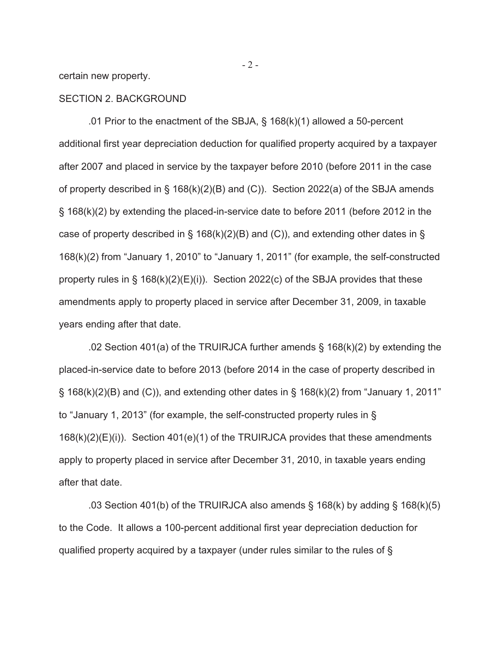certain new property.

### SECTION 2. BACKGROUND

.01 Prior to the enactment of the SBJA, § 168(k)(1) allowed a 50-percent additional first year depreciation deduction for qualified property acquired by a taxpayer after 2007 and placed in service by the taxpayer before 2010 (before 2011 in the case of property described in § 168(k)(2)(B) and (C)). Section 2022(a) of the SBJA amends § 168(k)(2) by extending the placed-in-service date to before 2011 (before 2012 in the case of property described in § 168(k)(2)(B) and (C)), and extending other dates in § 168(k)(2) from "January 1, 2010" to "January 1, 2011" (for example, the self-constructed property rules in  $\S$  168(k)(2)(E)(i)). Section 2022(c) of the SBJA provides that these amendments apply to property placed in service after December 31, 2009, in taxable years ending after that date.

.02 Section 401(a) of the TRUIRJCA further amends § 168(k)(2) by extending the placed-in-service date to before 2013 (before 2014 in the case of property described in  $\S$  168(k)(2)(B) and (C)), and extending other dates in  $\S$  168(k)(2) from "January 1, 2011" to "January 1, 2013" (for example, the self-constructed property rules in § 168(k)(2)(E)(i)). Section 401(e)(1) of the TRUIRJCA provides that these amendments apply to property placed in service after December 31, 2010, in taxable years ending after that date.

.03 Section 401(b) of the TRUIRJCA also amends  $\S$  168(k) by adding  $\S$  168(k)(5) to the Code. It allows a 100-percent additional first year depreciation deduction for qualified property acquired by a taxpayer (under rules similar to the rules of §

 $-2 -$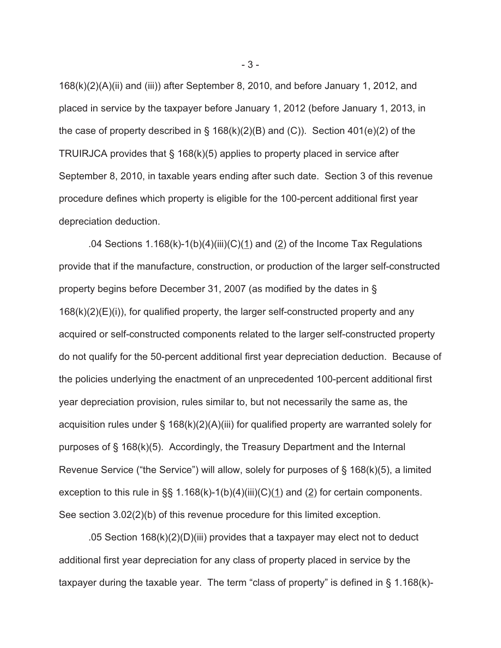168(k)(2)(A)(ii) and (iii)) after September 8, 2010, and before January 1, 2012, and placed in service by the taxpayer before January 1, 2012 (before January 1, 2013, in the case of property described in  $\S$  168(k)(2)(B) and (C)). Section 401(e)(2) of the TRUIRJCA provides that § 168(k)(5) applies to property placed in service after September 8, 2010, in taxable years ending after such date. Section 3 of this revenue procedure defines which property is eligible for the 100-percent additional first year depreciation deduction.

.04 Sections  $1.168(k)-1(b)(4)(iii)(C)(1)$  and (2) of the Income Tax Regulations provide that if the manufacture, construction, or production of the larger self-constructed property begins before December 31, 2007 (as modified by the dates in §  $168(k)(2)(E)(i)$ , for qualified property, the larger self-constructed property and any acquired or self-constructed components related to the larger self-constructed property do not qualify for the 50-percent additional first year depreciation deduction. Because of the policies underlying the enactment of an unprecedented 100-percent additional first year depreciation provision, rules similar to, but not necessarily the same as, the acquisition rules under § 168(k)(2)(A)(iii) for qualified property are warranted solely for purposes of § 168(k)(5). Accordingly, the Treasury Department and the Internal Revenue Service ("the Service") will allow, solely for purposes of § 168(k)(5), a limited exception to this rule in  $\S$ , 1.168(k)-1(b)(4)(iii)(C)(1) and (2) for certain components. See section 3.02(2)(b) of this revenue procedure for this limited exception.

.05 Section 168(k)(2)(D)(iii) provides that a taxpayer may elect not to deduct additional first year depreciation for any class of property placed in service by the taxpayer during the taxable year. The term "class of property" is defined in § 1.168(k)-

- 3 -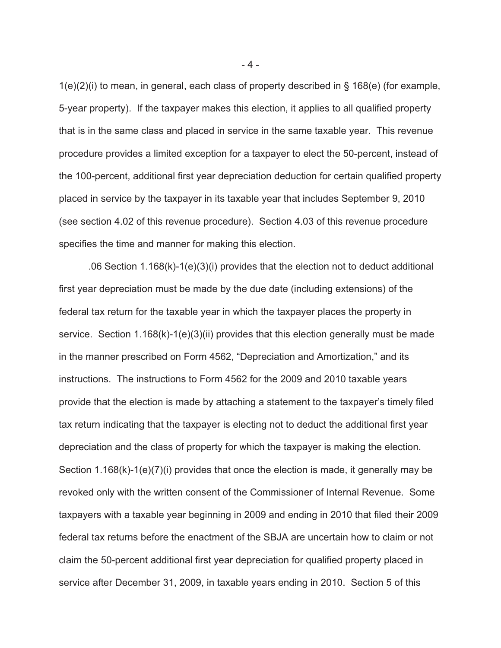1(e)(2)(i) to mean, in general, each class of property described in § 168(e) (for example, 5-year property). If the taxpayer makes this election, it applies to all qualified property that is in the same class and placed in service in the same taxable year. This revenue procedure provides a limited exception for a taxpayer to elect the 50-percent, instead of the 100-percent, additional first year depreciation deduction for certain qualified property placed in service by the taxpayer in its taxable year that includes September 9, 2010 (see section 4.02 of this revenue procedure). Section 4.03 of this revenue procedure specifies the time and manner for making this election.

.06 Section 1.168(k)-1(e)(3)(i) provides that the election not to deduct additional first year depreciation must be made by the due date (including extensions) of the federal tax return for the taxable year in which the taxpayer places the property in service. Section 1.168(k)-1(e)(3)(ii) provides that this election generally must be made in the manner prescribed on Form 4562, "Depreciation and Amortization," and its instructions. The instructions to Form 4562 for the 2009 and 2010 taxable years provide that the election is made by attaching a statement to the taxpayer's timely filed tax return indicating that the taxpayer is electing not to deduct the additional first year depreciation and the class of property for which the taxpayer is making the election. Section 1.168(k)-1(e)(7)(i) provides that once the election is made, it generally may be revoked only with the written consent of the Commissioner of Internal Revenue. Some taxpayers with a taxable year beginning in 2009 and ending in 2010 that filed their 2009 federal tax returns before the enactment of the SBJA are uncertain how to claim or not claim the 50-percent additional first year depreciation for qualified property placed in service after December 31, 2009, in taxable years ending in 2010. Section 5 of this

- 4 -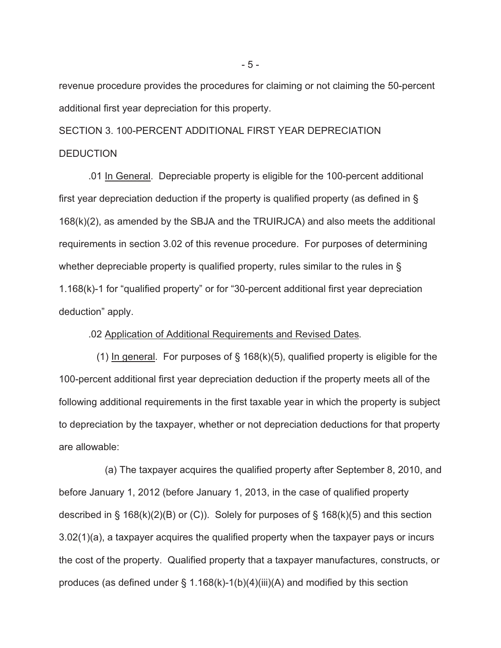revenue procedure provides the procedures for claiming or not claiming the 50-percent additional first year depreciation for this property.

SECTION 3. 100-PERCENT ADDITIONAL FIRST YEAR DEPRECIATION **DEDUCTION** 

 .01 In General. Depreciable property is eligible for the 100-percent additional first year depreciation deduction if the property is qualified property (as defined in § 168(k)(2), as amended by the SBJA and the TRUIRJCA) and also meets the additional requirements in section 3.02 of this revenue procedure. For purposes of determining whether depreciable property is qualified property, rules similar to the rules in § 1.168(k)-1 for "qualified property" or for "30-percent additional first year depreciation deduction" apply.

.02 Application of Additional Requirements and Revised Dates.

(1) In general. For purposes of  $\S$  168(k)(5), qualified property is eligible for the 100-percent additional first year depreciation deduction if the property meets all of the following additional requirements in the first taxable year in which the property is subject to depreciation by the taxpayer, whether or not depreciation deductions for that property are allowable:

 (a) The taxpayer acquires the qualified property after September 8, 2010, and before January 1, 2012 (before January 1, 2013, in the case of qualified property described in  $\S$  168(k)(2)(B) or (C)). Solely for purposes of  $\S$  168(k)(5) and this section 3.02(1)(a), a taxpayer acquires the qualified property when the taxpayer pays or incurs the cost of the property. Qualified property that a taxpayer manufactures, constructs, or produces (as defined under  $\S$  1.168(k)-1(b)(4)(iii)(A) and modified by this section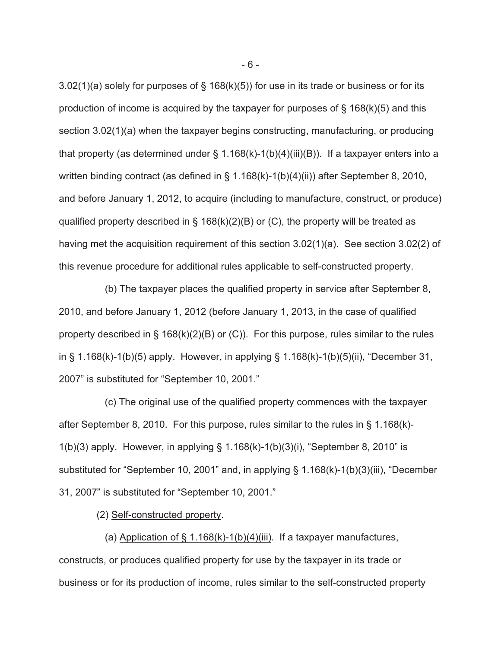3.02(1)(a) solely for purposes of § 168(k)(5)) for use in its trade or business or for its production of income is acquired by the taxpayer for purposes of  $\S$  168(k)(5) and this section 3.02(1)(a) when the taxpayer begins constructing, manufacturing, or producing that property (as determined under  $\S$  1.168(k)-1(b)(4)(iii)(B)). If a taxpayer enters into a written binding contract (as defined in § 1.168(k)-1(b)(4)(ii)) after September 8, 2010, and before January 1, 2012, to acquire (including to manufacture, construct, or produce) qualified property described in § 168(k)(2)(B) or (C), the property will be treated as having met the acquisition requirement of this section 3.02(1)(a). See section 3.02(2) of this revenue procedure for additional rules applicable to self-constructed property.

 (b) The taxpayer places the qualified property in service after September 8, 2010, and before January 1, 2012 (before January 1, 2013, in the case of qualified property described in § 168(k)(2)(B) or (C)). For this purpose, rules similar to the rules in § 1.168(k)-1(b)(5) apply. However, in applying § 1.168(k)-1(b)(5)(ii), "December 31, 2007" is substituted for "September 10, 2001."

 (c) The original use of the qualified property commences with the taxpayer after September 8, 2010. For this purpose, rules similar to the rules in § 1.168(k)- 1(b)(3) apply. However, in applying § 1.168(k)-1(b)(3)(i), "September 8, 2010" is substituted for "September 10, 2001" and, in applying § 1.168(k)-1(b)(3)(iii), "December 31, 2007" is substituted for "September 10, 2001."

(2) Self-constructed property.

(a) Application of  $\S$  1.168(k)-1(b)(4)(iii). If a taxpayer manufactures, constructs, or produces qualified property for use by the taxpayer in its trade or business or for its production of income, rules similar to the self-constructed property

- 6 -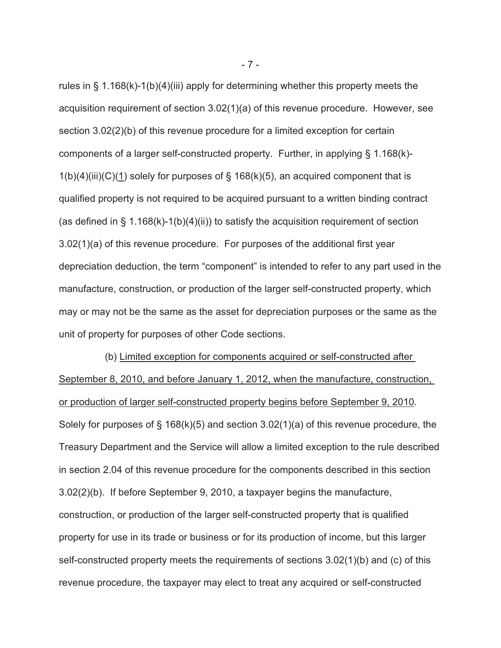rules in § 1.168(k)-1(b)(4)(iii) apply for determining whether this property meets the acquisition requirement of section 3.02(1)(a) of this revenue procedure. However, see section 3.02(2)(b) of this revenue procedure for a limited exception for certain components of a larger self-constructed property. Further, in applying § 1.168(k)-  $1(b)(4)(iii)(C)(1)$  solely for purposes of § 168(k)(5), an acquired component that is qualified property is not required to be acquired pursuant to a written binding contract (as defined in  $\S$  1.168(k)-1(b)(4)(ii)) to satisfy the acquisition requirement of section 3.02(1)(a) of this revenue procedure. For purposes of the additional first year depreciation deduction, the term "component" is intended to refer to any part used in the manufacture, construction, or production of the larger self-constructed property, which may or may not be the same as the asset for depreciation purposes or the same as the unit of property for purposes of other Code sections.

 (b) Limited exception for components acquired or self-constructed after September 8, 2010, and before January 1, 2012, when the manufacture, construction, or production of larger self-constructed property begins before September 9, 2010. Solely for purposes of  $\S$  168(k)(5) and section 3.02(1)(a) of this revenue procedure, the Treasury Department and the Service will allow a limited exception to the rule described in section 2.04 of this revenue procedure for the components described in this section 3.02(2)(b). If before September 9, 2010, a taxpayer begins the manufacture, construction, or production of the larger self-constructed property that is qualified property for use in its trade or business or for its production of income, but this larger self-constructed property meets the requirements of sections 3.02(1)(b) and (c) of this revenue procedure, the taxpayer may elect to treat any acquired or self-constructed

- 7 -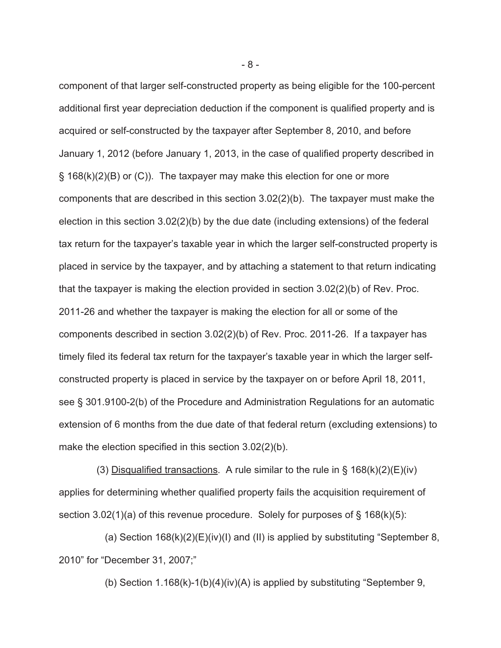component of that larger self-constructed property as being eligible for the 100-percent additional first year depreciation deduction if the component is qualified property and is acquired or self-constructed by the taxpayer after September 8, 2010, and before January 1, 2012 (before January 1, 2013, in the case of qualified property described in § 168(k)(2)(B) or (C)). The taxpayer may make this election for one or more components that are described in this section 3.02(2)(b). The taxpayer must make the election in this section 3.02(2)(b) by the due date (including extensions) of the federal tax return for the taxpayer's taxable year in which the larger self-constructed property is placed in service by the taxpayer, and by attaching a statement to that return indicating that the taxpayer is making the election provided in section 3.02(2)(b) of Rev. Proc. 2011-26 and whether the taxpayer is making the election for all or some of the components described in section 3.02(2)(b) of Rev. Proc. 2011-26. If a taxpayer has timely filed its federal tax return for the taxpayer's taxable year in which the larger selfconstructed property is placed in service by the taxpayer on or before April 18, 2011, see § 301.9100-2(b) of the Procedure and Administration Regulations for an automatic extension of 6 months from the due date of that federal return (excluding extensions) to make the election specified in this section 3.02(2)(b).

(3) Disqualified transactions. A rule similar to the rule in  $\S$  168(k)(2)(E)(iv) applies for determining whether qualified property fails the acquisition requirement of section 3.02(1)(a) of this revenue procedure. Solely for purposes of  $\S$  168(k)(5):

(a) Section  $168(k)(2)(E)(iv)(I)$  and (II) is applied by substituting "September 8, 2010" for "December 31, 2007;"

(b) Section 1.168(k)-1(b)(4)(iv)(A) is applied by substituting "September 9,

- 8 -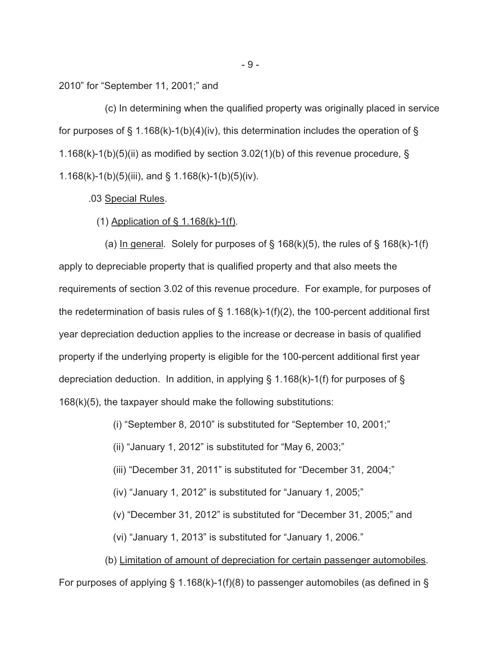2010" for "September 11, 2001;" and

 (c) In determining when the qualified property was originally placed in service for purposes of § 1.168(k)-1(b)(4)(iv), this determination includes the operation of § 1.168(k)-1(b)(5)(ii) as modified by section 3.02(1)(b) of this revenue procedure,  $\S$ 1.168(k)-1(b)(5)(iii), and § 1.168(k)-1(b)(5)(iv).

#### .03 Special Rules.

### (1) Application of § 1.168(k)-1(f).

(a) In general. Solely for purposes of  $\S$  168(k)(5), the rules of  $\S$  168(k)-1(f) apply to depreciable property that is qualified property and that also meets the requirements of section 3.02 of this revenue procedure. For example, for purposes of the redetermination of basis rules of  $\S$  1.168(k)-1(f)(2), the 100-percent additional first year depreciation deduction applies to the increase or decrease in basis of qualified property if the underlying property is eligible for the 100-percent additional first year depreciation deduction. In addition, in applying § 1.168(k)-1(f) for purposes of § 168(k)(5), the taxpayer should make the following substitutions:

(i) "September 8, 2010" is substituted for "September 10, 2001;"

(ii) "January 1, 2012" is substituted for "May 6, 2003;"

(iii) "December 31, 2011" is substituted for "December 31, 2004;"

(iv) "January 1, 2012" is substituted for "January 1, 2005;"

(v) "December 31, 2012" is substituted for "December 31, 2005;" and

(vi) "January 1, 2013" is substituted for "January 1, 2006."

 (b) Limitation of amount of depreciation for certain passenger automobiles. For purposes of applying § 1.168(k)-1(f)(8) to passenger automobiles (as defined in §

- 9 -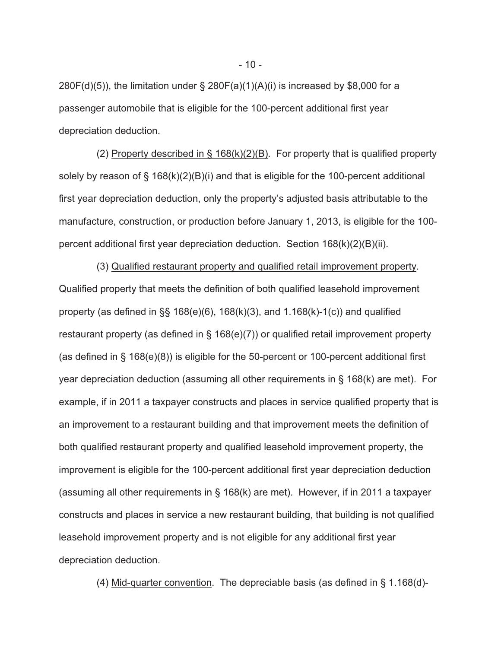$280F(d)(5)$ ), the limitation under § 280F(a)(1)(A)(i) is increased by \$8,000 for a passenger automobile that is eligible for the 100-percent additional first year depreciation deduction.

 (2) Property described in § 168(k)(2)(B). For property that is qualified property solely by reason of § 168(k)(2)(B)(i) and that is eligible for the 100-percent additional first year depreciation deduction, only the property's adjusted basis attributable to the manufacture, construction, or production before January 1, 2013, is eligible for the 100 percent additional first year depreciation deduction. Section 168(k)(2)(B)(ii).

 (3) Qualified restaurant property and qualified retail improvement property. Qualified property that meets the definition of both qualified leasehold improvement property (as defined in  $\S$ § 168(e)(6), 168(k)(3), and 1.168(k)-1(c)) and qualified restaurant property (as defined in § 168(e)(7)) or qualified retail improvement property (as defined in § 168(e)(8)) is eligible for the 50-percent or 100-percent additional first year depreciation deduction (assuming all other requirements in § 168(k) are met). For example, if in 2011 a taxpayer constructs and places in service qualified property that is an improvement to a restaurant building and that improvement meets the definition of both qualified restaurant property and qualified leasehold improvement property, the improvement is eligible for the 100-percent additional first year depreciation deduction (assuming all other requirements in § 168(k) are met). However, if in 2011 a taxpayer constructs and places in service a new restaurant building, that building is not qualified leasehold improvement property and is not eligible for any additional first year depreciation deduction.

(4) Mid-quarter convention. The depreciable basis (as defined in § 1.168(d)-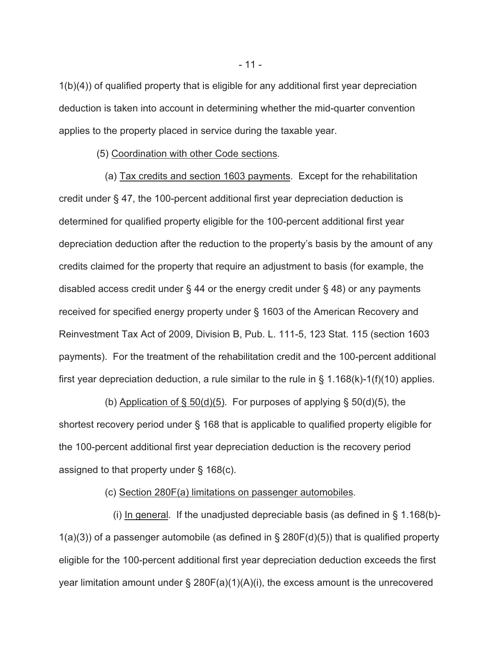1(b)(4)) of qualified property that is eligible for any additional first year depreciation deduction is taken into account in determining whether the mid-quarter convention applies to the property placed in service during the taxable year.

(5) Coordination with other Code sections.

 (a) Tax credits and section 1603 payments. Except for the rehabilitation credit under § 47, the 100-percent additional first year depreciation deduction is determined for qualified property eligible for the 100-percent additional first year depreciation deduction after the reduction to the property's basis by the amount of any credits claimed for the property that require an adjustment to basis (for example, the disabled access credit under  $\S$  44 or the energy credit under  $\S$  48) or any payments received for specified energy property under § 1603 of the American Recovery and Reinvestment Tax Act of 2009, Division B, Pub. L. 111-5, 123 Stat. 115 (section 1603 payments). For the treatment of the rehabilitation credit and the 100-percent additional first year depreciation deduction, a rule similar to the rule in  $\S$  1.168(k)-1(f)(10) applies.

(b) Application of  $\S$  50(d)(5). For purposes of applying  $\S$  50(d)(5), the shortest recovery period under § 168 that is applicable to qualified property eligible for the 100-percent additional first year depreciation deduction is the recovery period assigned to that property under § 168(c).

(c) Section 280F(a) limitations on passenger automobiles.

(i) In general. If the unadjusted depreciable basis (as defined in  $\S$  1.168(b)- $1(a)(3)$ ) of a passenger automobile (as defined in § 280F(d)(5)) that is qualified property eligible for the 100-percent additional first year depreciation deduction exceeds the first year limitation amount under  $\S$  280F(a)(1)(A)(i), the excess amount is the unrecovered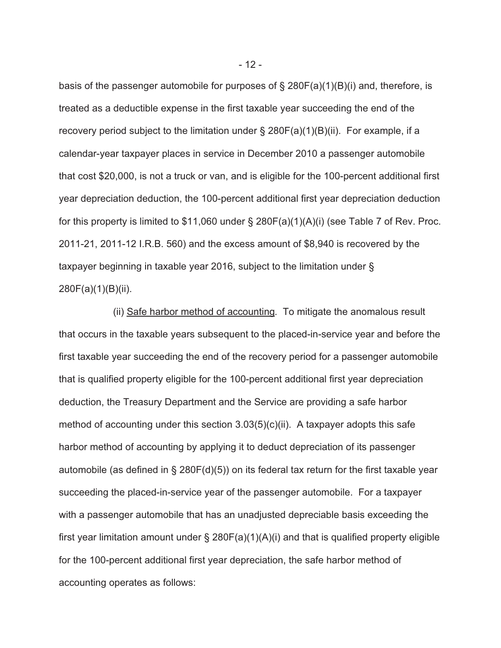basis of the passenger automobile for purposes of § 280F(a)(1)(B)(i) and, therefore, is treated as a deductible expense in the first taxable year succeeding the end of the recovery period subject to the limitation under  $\S$  280F(a)(1)(B)(ii). For example, if a calendar-year taxpayer places in service in December 2010 a passenger automobile that cost \$20,000, is not a truck or van, and is eligible for the 100-percent additional first year depreciation deduction, the 100-percent additional first year depreciation deduction for this property is limited to  $$11,060$  under § 280F(a)(1)(A)(i) (see Table 7 of Rev. Proc. 2011-21, 2011-12 I.R.B. 560) and the excess amount of \$8,940 is recovered by the taxpayer beginning in taxable year 2016, subject to the limitation under § 280F(a)(1)(B)(ii).

 (ii) Safe harbor method of accounting. To mitigate the anomalous result that occurs in the taxable years subsequent to the placed-in-service year and before the first taxable year succeeding the end of the recovery period for a passenger automobile that is qualified property eligible for the 100-percent additional first year depreciation deduction, the Treasury Department and the Service are providing a safe harbor method of accounting under this section 3.03(5)(c)(ii). A taxpayer adopts this safe harbor method of accounting by applying it to deduct depreciation of its passenger automobile (as defined in § 280F(d)(5)) on its federal tax return for the first taxable year succeeding the placed-in-service year of the passenger automobile. For a taxpayer with a passenger automobile that has an unadjusted depreciable basis exceeding the first year limitation amount under  $\S$  280F(a)(1)(A)(i) and that is qualified property eligible for the 100-percent additional first year depreciation, the safe harbor method of accounting operates as follows:

- 12 -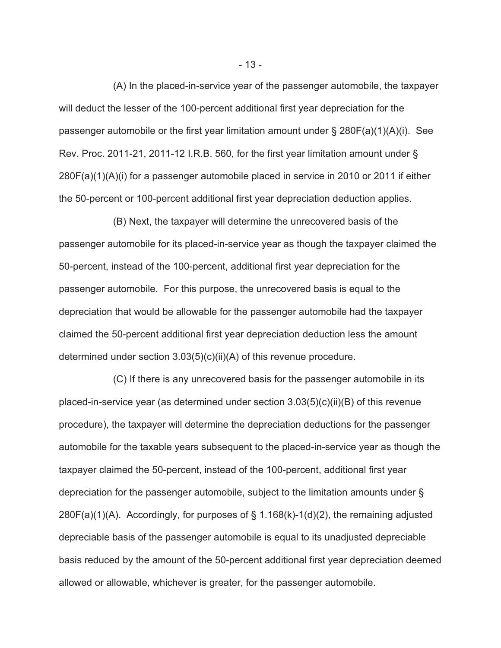(A) In the placed-in-service year of the passenger automobile, the taxpayer will deduct the lesser of the 100-percent additional first year depreciation for the passenger automobile or the first year limitation amount under § 280F(a)(1)(A)(i). See Rev. Proc. 2011-21, 2011-12 I.R.B. 560, for the first year limitation amount under § 280F(a)(1)(A)(i) for a passenger automobile placed in service in 2010 or 2011 if either the 50-percent or 100-percent additional first year depreciation deduction applies.

 (B) Next, the taxpayer will determine the unrecovered basis of the passenger automobile for its placed-in-service year as though the taxpayer claimed the 50-percent, instead of the 100-percent, additional first year depreciation for the passenger automobile. For this purpose, the unrecovered basis is equal to the depreciation that would be allowable for the passenger automobile had the taxpayer claimed the 50-percent additional first year depreciation deduction less the amount determined under section 3.03(5)(c)(ii)(A) of this revenue procedure.

 (C) If there is any unrecovered basis for the passenger automobile in its placed-in-service year (as determined under section 3.03(5)(c)(ii)(B) of this revenue procedure), the taxpayer will determine the depreciation deductions for the passenger automobile for the taxable years subsequent to the placed-in-service year as though the taxpayer claimed the 50-percent, instead of the 100-percent, additional first year depreciation for the passenger automobile, subject to the limitation amounts under §  $280F(a)(1)(A)$ . Accordingly, for purposes of § 1.168(k)-1(d)(2), the remaining adjusted depreciable basis of the passenger automobile is equal to its unadjusted depreciable basis reduced by the amount of the 50-percent additional first year depreciation deemed allowed or allowable, whichever is greater, for the passenger automobile.

- 13 -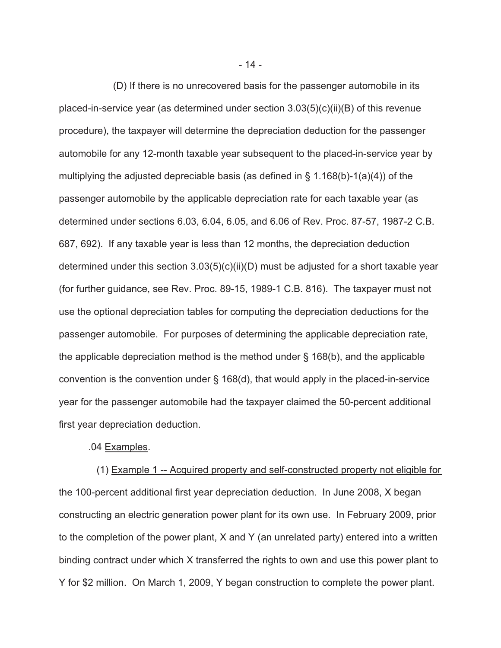(D) If there is no unrecovered basis for the passenger automobile in its placed-in-service year (as determined under section 3.03(5)(c)(ii)(B) of this revenue procedure), the taxpayer will determine the depreciation deduction for the passenger automobile for any 12-month taxable year subsequent to the placed-in-service year by multiplying the adjusted depreciable basis (as defined in  $\S$  1.168(b)-1(a)(4)) of the passenger automobile by the applicable depreciation rate for each taxable year (as determined under sections 6.03, 6.04, 6.05, and 6.06 of Rev. Proc. 87-57, 1987-2 C.B. 687, 692). If any taxable year is less than 12 months, the depreciation deduction determined under this section 3.03(5)(c)(ii)(D) must be adjusted for a short taxable year (for further guidance, see Rev. Proc. 89-15, 1989-1 C.B. 816). The taxpayer must not use the optional depreciation tables for computing the depreciation deductions for the passenger automobile. For purposes of determining the applicable depreciation rate, the applicable depreciation method is the method under § 168(b), and the applicable convention is the convention under § 168(d), that would apply in the placed-in-service year for the passenger automobile had the taxpayer claimed the 50-percent additional first year depreciation deduction.

.04 Examples.

 (1) Example 1 -- Acquired property and self-constructed property not eligible for the 100-percent additional first year depreciation deduction. In June 2008, X began constructing an electric generation power plant for its own use. In February 2009, prior to the completion of the power plant, X and Y (an unrelated party) entered into a written binding contract under which X transferred the rights to own and use this power plant to Y for \$2 million. On March 1, 2009, Y began construction to complete the power plant.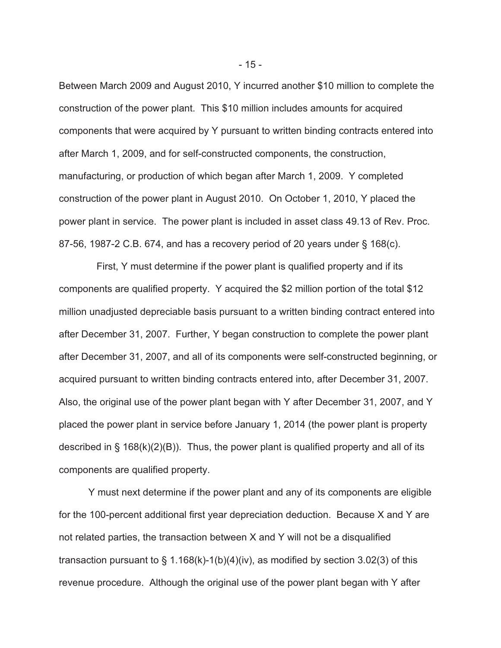Between March 2009 and August 2010, Y incurred another \$10 million to complete the construction of the power plant. This \$10 million includes amounts for acquired components that were acquired by Y pursuant to written binding contracts entered into after March 1, 2009, and for self-constructed components, the construction, manufacturing, or production of which began after March 1, 2009. Y completed construction of the power plant in August 2010. On October 1, 2010, Y placed the power plant in service. The power plant is included in asset class 49.13 of Rev. Proc. 87-56, 1987-2 C.B. 674, and has a recovery period of 20 years under § 168(c).

 First, Y must determine if the power plant is qualified property and if its components are qualified property. Y acquired the \$2 million portion of the total \$12 million unadjusted depreciable basis pursuant to a written binding contract entered into after December 31, 2007. Further, Y began construction to complete the power plant after December 31, 2007, and all of its components were self-constructed beginning, or acquired pursuant to written binding contracts entered into, after December 31, 2007. Also, the original use of the power plant began with Y after December 31, 2007, and Y placed the power plant in service before January 1, 2014 (the power plant is property described in  $\S$  168(k)(2)(B)). Thus, the power plant is qualified property and all of its components are qualified property.

Y must next determine if the power plant and any of its components are eligible for the 100-percent additional first year depreciation deduction. Because X and Y are not related parties, the transaction between X and Y will not be a disqualified transaction pursuant to  $\S$  1.168(k)-1(b)(4)(iv), as modified by section 3.02(3) of this revenue procedure. Although the original use of the power plant began with Y after

- 15 -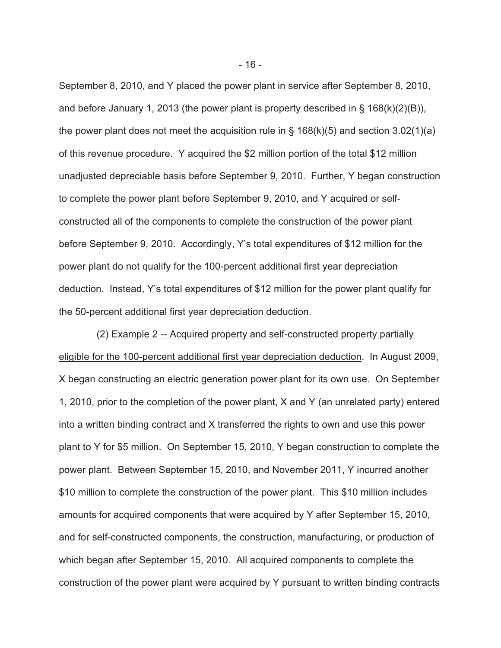September 8, 2010, and Y placed the power plant in service after September 8, 2010, and before January 1, 2013 (the power plant is property described in § 168(k)(2)(B)), the power plant does not meet the acquisition rule in  $\S$  168(k)(5) and section 3.02(1)(a) of this revenue procedure. Y acquired the \$2 million portion of the total \$12 million unadjusted depreciable basis before September 9, 2010. Further, Y began construction to complete the power plant before September 9, 2010, and Y acquired or selfconstructed all of the components to complete the construction of the power plant before September 9, 2010. Accordingly, Y's total expenditures of \$12 million for the power plant do not qualify for the 100-percent additional first year depreciation deduction. Instead, Y's total expenditures of \$12 million for the power plant qualify for the 50-percent additional first year depreciation deduction.

 (2) Example 2 -- Acquired property and self-constructed property partially eligible for the 100-percent additional first year depreciation deduction. In August 2009, X began constructing an electric generation power plant for its own use. On September 1, 2010, prior to the completion of the power plant, X and Y (an unrelated party) entered into a written binding contract and X transferred the rights to own and use this power plant to Y for \$5 million. On September 15, 2010, Y began construction to complete the power plant. Between September 15, 2010, and November 2011, Y incurred another \$10 million to complete the construction of the power plant. This \$10 million includes amounts for acquired components that were acquired by Y after September 15, 2010, and for self-constructed components, the construction, manufacturing, or production of which began after September 15, 2010. All acquired components to complete the construction of the power plant were acquired by Y pursuant to written binding contracts

- 16 -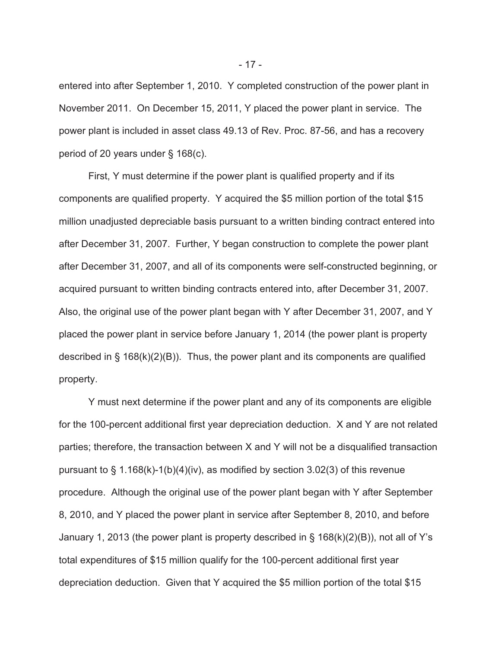entered into after September 1, 2010. Y completed construction of the power plant in November 2011. On December 15, 2011, Y placed the power plant in service. The power plant is included in asset class 49.13 of Rev. Proc. 87-56, and has a recovery period of 20 years under § 168(c).

 First, Y must determine if the power plant is qualified property and if its components are qualified property. Y acquired the \$5 million portion of the total \$15 million unadjusted depreciable basis pursuant to a written binding contract entered into after December 31, 2007. Further, Y began construction to complete the power plant after December 31, 2007, and all of its components were self-constructed beginning, or acquired pursuant to written binding contracts entered into, after December 31, 2007. Also, the original use of the power plant began with Y after December 31, 2007, and Y placed the power plant in service before January 1, 2014 (the power plant is property described in  $\S$  168(k)(2)(B)). Thus, the power plant and its components are qualified property.

Y must next determine if the power plant and any of its components are eligible for the 100-percent additional first year depreciation deduction. X and Y are not related parties; therefore, the transaction between X and Y will not be a disqualified transaction pursuant to  $\S$  1.168(k)-1(b)(4)(iv), as modified by section 3.02(3) of this revenue procedure. Although the original use of the power plant began with Y after September 8, 2010, and Y placed the power plant in service after September 8, 2010, and before January 1, 2013 (the power plant is property described in § 168(k)(2)(B)), not all of Y's total expenditures of \$15 million qualify for the 100-percent additional first year depreciation deduction. Given that Y acquired the \$5 million portion of the total \$15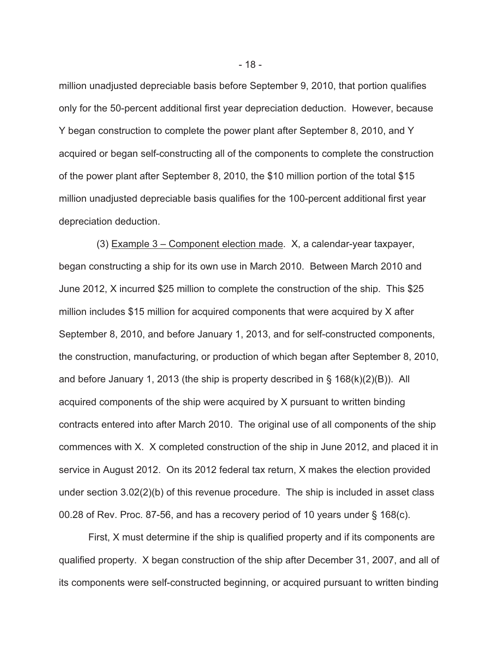million unadjusted depreciable basis before September 9, 2010, that portion qualifies only for the 50-percent additional first year depreciation deduction. However, because Y began construction to complete the power plant after September 8, 2010, and Y acquired or began self-constructing all of the components to complete the construction of the power plant after September 8, 2010, the \$10 million portion of the total \$15 million unadjusted depreciable basis qualifies for the 100-percent additional first year depreciation deduction.

 (3) Example 3 – Component election made. X, a calendar-year taxpayer, began constructing a ship for its own use in March 2010. Between March 2010 and June 2012, X incurred \$25 million to complete the construction of the ship. This \$25 million includes \$15 million for acquired components that were acquired by X after September 8, 2010, and before January 1, 2013, and for self-constructed components, the construction, manufacturing, or production of which began after September 8, 2010, and before January 1, 2013 (the ship is property described in § 168(k)(2)(B)). All acquired components of the ship were acquired by X pursuant to written binding contracts entered into after March 2010. The original use of all components of the ship commences with X. X completed construction of the ship in June 2012, and placed it in service in August 2012. On its 2012 federal tax return, X makes the election provided under section 3.02(2)(b) of this revenue procedure. The ship is included in asset class 00.28 of Rev. Proc. 87-56, and has a recovery period of 10 years under § 168(c).

First, X must determine if the ship is qualified property and if its components are qualified property. X began construction of the ship after December 31, 2007, and all of its components were self-constructed beginning, or acquired pursuant to written binding

- 18 -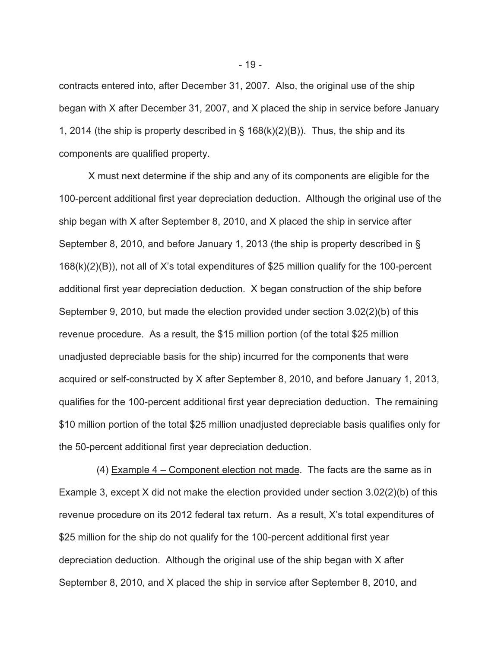contracts entered into, after December 31, 2007. Also, the original use of the ship began with X after December 31, 2007, and X placed the ship in service before January 1, 2014 (the ship is property described in  $\S$  168(k)(2)(B)). Thus, the ship and its components are qualified property.

X must next determine if the ship and any of its components are eligible for the 100-percent additional first year depreciation deduction. Although the original use of the ship began with X after September 8, 2010, and X placed the ship in service after September 8, 2010, and before January 1, 2013 (the ship is property described in § 168(k)(2)(B)), not all of X's total expenditures of \$25 million qualify for the 100-percent additional first year depreciation deduction. X began construction of the ship before September 9, 2010, but made the election provided under section 3.02(2)(b) of this revenue procedure. As a result, the \$15 million portion (of the total \$25 million unadjusted depreciable basis for the ship) incurred for the components that were acquired or self-constructed by X after September 8, 2010, and before January 1, 2013, qualifies for the 100-percent additional first year depreciation deduction. The remaining \$10 million portion of the total \$25 million unadjusted depreciable basis qualifies only for the 50-percent additional first year depreciation deduction.

 (4) Example 4 – Component election not made. The facts are the same as in Example 3, except X did not make the election provided under section 3.02(2)(b) of this revenue procedure on its 2012 federal tax return. As a result, X's total expenditures of \$25 million for the ship do not qualify for the 100-percent additional first year depreciation deduction. Although the original use of the ship began with X after September 8, 2010, and X placed the ship in service after September 8, 2010, and

- 19 -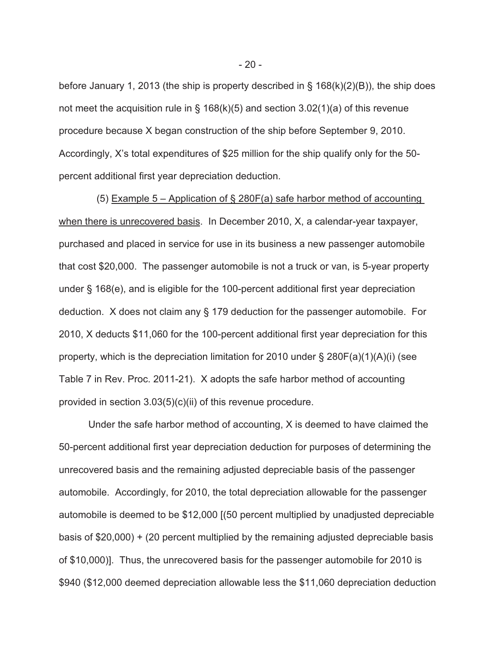before January 1, 2013 (the ship is property described in § 168(k)(2)(B)), the ship does not meet the acquisition rule in § 168(k)(5) and section 3.02(1)(a) of this revenue procedure because X began construction of the ship before September 9, 2010. Accordingly, X's total expenditures of \$25 million for the ship qualify only for the 50 percent additional first year depreciation deduction.

 (5) Example 5 – Application of § 280F(a) safe harbor method of accounting when there is unrecovered basis. In December 2010, X, a calendar-year taxpayer, purchased and placed in service for use in its business a new passenger automobile that cost \$20,000. The passenger automobile is not a truck or van, is 5-year property under § 168(e), and is eligible for the 100-percent additional first year depreciation deduction. X does not claim any § 179 deduction for the passenger automobile. For 2010, X deducts \$11,060 for the 100-percent additional first year depreciation for this property, which is the depreciation limitation for 2010 under  $\S$  280F(a)(1)(A)(i) (see Table 7 in Rev. Proc. 2011-21). X adopts the safe harbor method of accounting provided in section 3.03(5)(c)(ii) of this revenue procedure.

Under the safe harbor method of accounting, X is deemed to have claimed the 50-percent additional first year depreciation deduction for purposes of determining the unrecovered basis and the remaining adjusted depreciable basis of the passenger automobile. Accordingly, for 2010, the total depreciation allowable for the passenger automobile is deemed to be \$12,000 [(50 percent multiplied by unadjusted depreciable basis of \$20,000) + (20 percent multiplied by the remaining adjusted depreciable basis of \$10,000)]. Thus, the unrecovered basis for the passenger automobile for 2010 is \$940 (\$12,000 deemed depreciation allowable less the \$11,060 depreciation deduction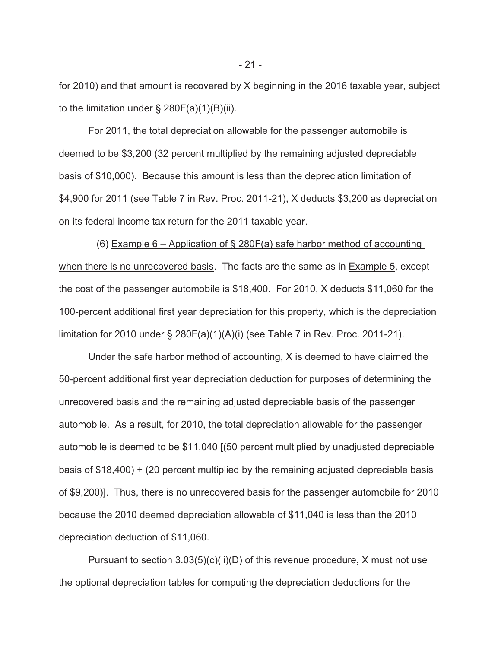for 2010) and that amount is recovered by X beginning in the 2016 taxable year, subject to the limitation under  $\S$  280F(a)(1)(B)(ii).

For 2011, the total depreciation allowable for the passenger automobile is deemed to be \$3,200 (32 percent multiplied by the remaining adjusted depreciable basis of \$10,000). Because this amount is less than the depreciation limitation of \$4,900 for 2011 (see Table 7 in Rev. Proc. 2011-21), X deducts \$3,200 as depreciation on its federal income tax return for the 2011 taxable year.

(6) Example  $6$  – Application of § 280F(a) safe harbor method of accounting when there is no unrecovered basis. The facts are the same as in Example 5, except the cost of the passenger automobile is \$18,400. For 2010, X deducts \$11,060 for the 100-percent additional first year depreciation for this property, which is the depreciation limitation for 2010 under § 280F(a)(1)(A)(i) (see Table 7 in Rev. Proc. 2011-21).

Under the safe harbor method of accounting, X is deemed to have claimed the 50-percent additional first year depreciation deduction for purposes of determining the unrecovered basis and the remaining adjusted depreciable basis of the passenger automobile. As a result, for 2010, the total depreciation allowable for the passenger automobile is deemed to be \$11,040 [(50 percent multiplied by unadjusted depreciable basis of \$18,400) + (20 percent multiplied by the remaining adjusted depreciable basis of \$9,200)]. Thus, there is no unrecovered basis for the passenger automobile for 2010 because the 2010 deemed depreciation allowable of \$11,040 is less than the 2010 depreciation deduction of \$11,060.

Pursuant to section  $3.03(5)(c)(ii)(D)$  of this revenue procedure, X must not use the optional depreciation tables for computing the depreciation deductions for the

- 21 -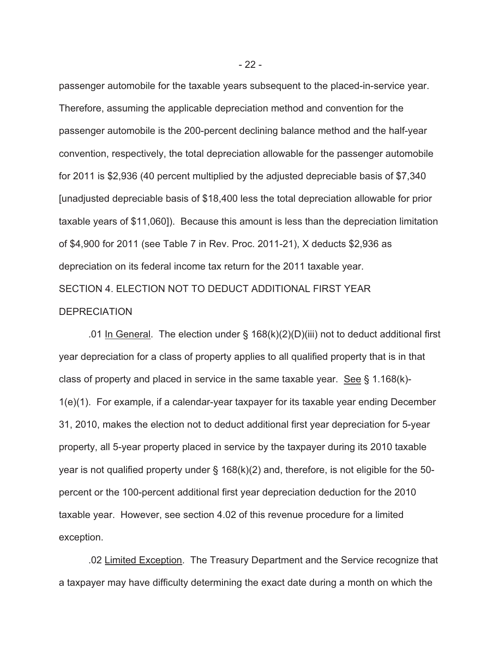passenger automobile for the taxable years subsequent to the placed-in-service year. Therefore, assuming the applicable depreciation method and convention for the passenger automobile is the 200-percent declining balance method and the half-year convention, respectively, the total depreciation allowable for the passenger automobile for 2011 is \$2,936 (40 percent multiplied by the adjusted depreciable basis of \$7,340 [unadjusted depreciable basis of \$18,400 less the total depreciation allowable for prior taxable years of \$11,060]). Because this amount is less than the depreciation limitation of \$4,900 for 2011 (see Table 7 in Rev. Proc. 2011-21), X deducts \$2,936 as depreciation on its federal income tax return for the 2011 taxable year. SECTION 4. ELECTION NOT TO DEDUCT ADDITIONAL FIRST YEAR **DEPRECIATION** 

.01 In General. The election under  $\S$  168(k)(2)(D)(iii) not to deduct additional first year depreciation for a class of property applies to all qualified property that is in that class of property and placed in service in the same taxable year. See § 1.168(k)- 1(e)(1). For example, if a calendar-year taxpayer for its taxable year ending December 31, 2010, makes the election not to deduct additional first year depreciation for 5-year property, all 5-year property placed in service by the taxpayer during its 2010 taxable year is not qualified property under § 168(k)(2) and, therefore, is not eligible for the 50 percent or the 100-percent additional first year depreciation deduction for the 2010 taxable year. However, see section 4.02 of this revenue procedure for a limited exception.

.02 Limited Exception. The Treasury Department and the Service recognize that a taxpayer may have difficulty determining the exact date during a month on which the

- 22 -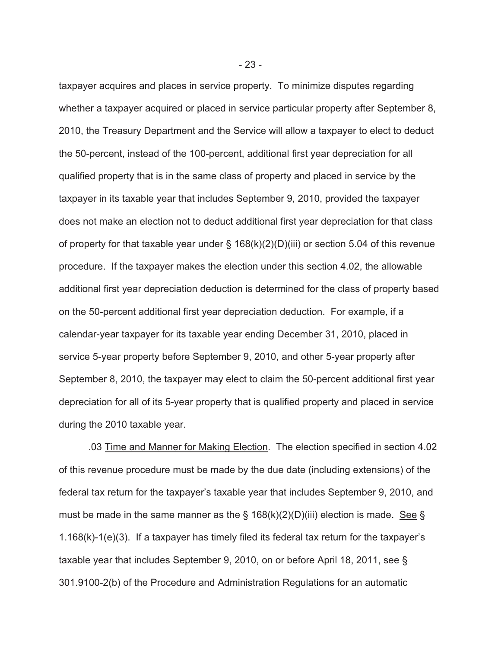taxpayer acquires and places in service property. To minimize disputes regarding whether a taxpayer acquired or placed in service particular property after September 8, 2010, the Treasury Department and the Service will allow a taxpayer to elect to deduct the 50-percent, instead of the 100-percent, additional first year depreciation for all qualified property that is in the same class of property and placed in service by the taxpayer in its taxable year that includes September 9, 2010, provided the taxpayer does not make an election not to deduct additional first year depreciation for that class of property for that taxable year under §  $168(k)(2)(D)(iii)$  or section 5.04 of this revenue procedure. If the taxpayer makes the election under this section 4.02, the allowable additional first year depreciation deduction is determined for the class of property based on the 50-percent additional first year depreciation deduction. For example, if a calendar-year taxpayer for its taxable year ending December 31, 2010, placed in service 5-year property before September 9, 2010, and other 5-year property after September 8, 2010, the taxpayer may elect to claim the 50-percent additional first year depreciation for all of its 5-year property that is qualified property and placed in service during the 2010 taxable year.

.03 Time and Manner for Making Election. The election specified in section 4.02 of this revenue procedure must be made by the due date (including extensions) of the federal tax return for the taxpayer's taxable year that includes September 9, 2010, and must be made in the same manner as the  $\S$  168(k)(2)(D)(iii) election is made. See  $\S$ 1.168(k)-1(e)(3). If a taxpayer has timely filed its federal tax return for the taxpayer's taxable year that includes September 9, 2010, on or before April 18, 2011, see § 301.9100-2(b) of the Procedure and Administration Regulations for an automatic

- 23 -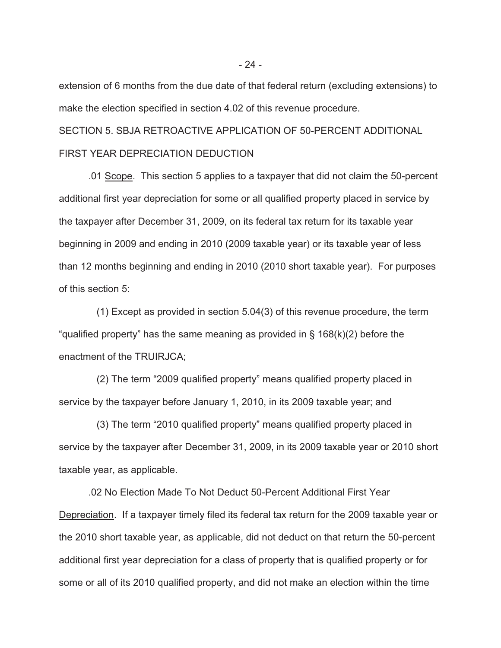extension of 6 months from the due date of that federal return (excluding extensions) to make the election specified in section 4.02 of this revenue procedure.

SECTION 5. SBJA RETROACTIVE APPLICATION OF 50-PERCENT ADDITIONAL FIRST YEAR DEPRECIATION DEDUCTION

 .01 Scope. This section 5 applies to a taxpayer that did not claim the 50-percent additional first year depreciation for some or all qualified property placed in service by the taxpayer after December 31, 2009, on its federal tax return for its taxable year beginning in 2009 and ending in 2010 (2009 taxable year) or its taxable year of less than 12 months beginning and ending in 2010 (2010 short taxable year). For purposes of this section 5:

 (1) Except as provided in section 5.04(3) of this revenue procedure, the term "qualified property" has the same meaning as provided in  $\S$  168(k)(2) before the enactment of the TRUIRJCA;

 (2) The term "2009 qualified property" means qualified property placed in service by the taxpayer before January 1, 2010, in its 2009 taxable year; and

 (3) The term "2010 qualified property" means qualified property placed in service by the taxpayer after December 31, 2009, in its 2009 taxable year or 2010 short taxable year, as applicable.

 .02 No Election Made To Not Deduct 50-Percent Additional First Year Depreciation. If a taxpayer timely filed its federal tax return for the 2009 taxable year or the 2010 short taxable year, as applicable, did not deduct on that return the 50-percent additional first year depreciation for a class of property that is qualified property or for some or all of its 2010 qualified property, and did not make an election within the time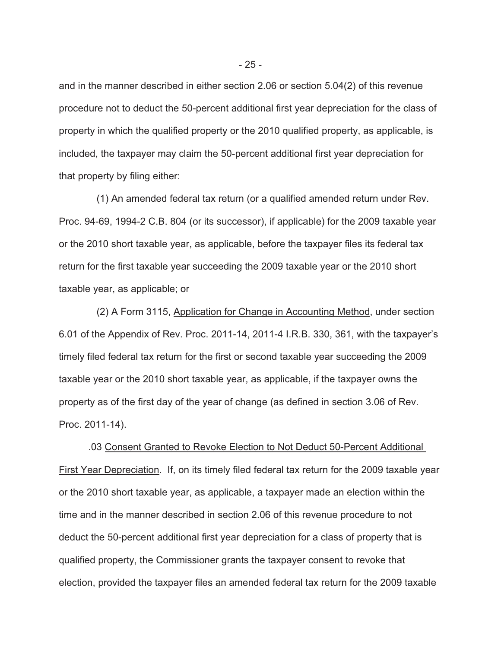and in the manner described in either section 2.06 or section 5.04(2) of this revenue procedure not to deduct the 50-percent additional first year depreciation for the class of property in which the qualified property or the 2010 qualified property, as applicable, is included, the taxpayer may claim the 50-percent additional first year depreciation for that property by filing either:

 (1) An amended federal tax return (or a qualified amended return under Rev. Proc. 94-69, 1994-2 C.B. 804 (or its successor), if applicable) for the 2009 taxable year or the 2010 short taxable year, as applicable, before the taxpayer files its federal tax return for the first taxable year succeeding the 2009 taxable year or the 2010 short taxable year, as applicable; or

 (2) A Form 3115, Application for Change in Accounting Method, under section 6.01 of the Appendix of Rev. Proc. 2011-14, 2011-4 I.R.B. 330, 361, with the taxpayer's timely filed federal tax return for the first or second taxable year succeeding the 2009 taxable year or the 2010 short taxable year, as applicable, if the taxpayer owns the property as of the first day of the year of change (as defined in section 3.06 of Rev. Proc. 2011-14).

.03 Consent Granted to Revoke Election to Not Deduct 50-Percent Additional First Year Depreciation. If, on its timely filed federal tax return for the 2009 taxable year or the 2010 short taxable year, as applicable, a taxpayer made an election within the time and in the manner described in section 2.06 of this revenue procedure to not deduct the 50-percent additional first year depreciation for a class of property that is qualified property, the Commissioner grants the taxpayer consent to revoke that election, provided the taxpayer files an amended federal tax return for the 2009 taxable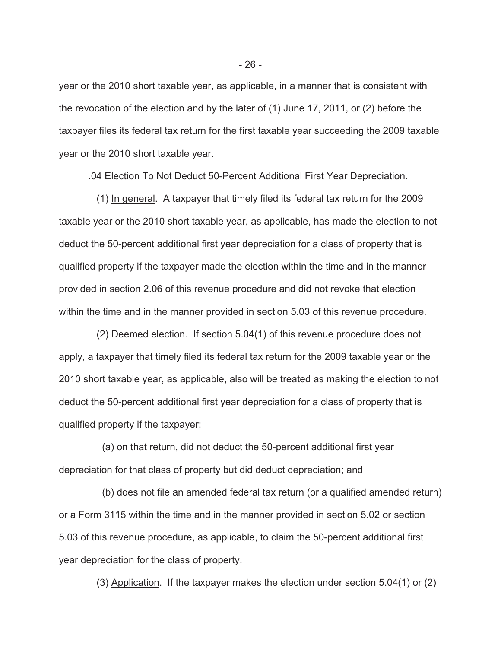year or the 2010 short taxable year, as applicable, in a manner that is consistent with the revocation of the election and by the later of (1) June 17, 2011, or (2) before the taxpayer files its federal tax return for the first taxable year succeeding the 2009 taxable year or the 2010 short taxable year.

.04 Election To Not Deduct 50-Percent Additional First Year Depreciation.

 (1) In general. A taxpayer that timely filed its federal tax return for the 2009 taxable year or the 2010 short taxable year, as applicable, has made the election to not deduct the 50-percent additional first year depreciation for a class of property that is qualified property if the taxpayer made the election within the time and in the manner provided in section 2.06 of this revenue procedure and did not revoke that election within the time and in the manner provided in section 5.03 of this revenue procedure.

 (2) Deemed election. If section 5.04(1) of this revenue procedure does not apply, a taxpayer that timely filed its federal tax return for the 2009 taxable year or the 2010 short taxable year, as applicable, also will be treated as making the election to not deduct the 50-percent additional first year depreciation for a class of property that is qualified property if the taxpayer:

 (a) on that return, did not deduct the 50-percent additional first year depreciation for that class of property but did deduct depreciation; and

 (b) does not file an amended federal tax return (or a qualified amended return) or a Form 3115 within the time and in the manner provided in section 5.02 or section 5.03 of this revenue procedure, as applicable, to claim the 50-percent additional first year depreciation for the class of property.

(3) Application. If the taxpayer makes the election under section 5.04(1) or (2)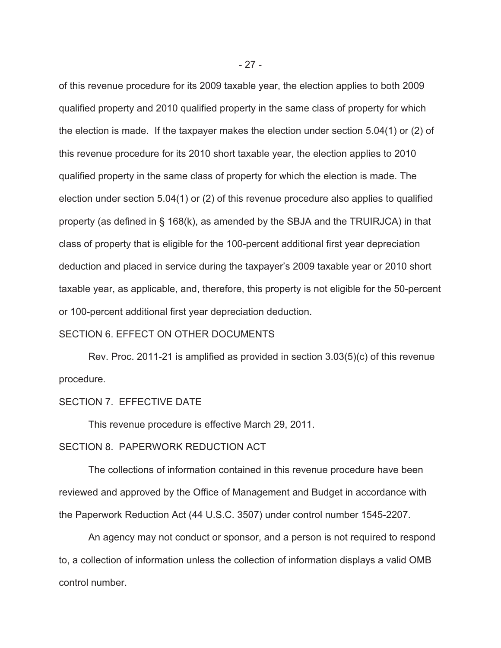of this revenue procedure for its 2009 taxable year, the election applies to both 2009 qualified property and 2010 qualified property in the same class of property for which the election is made. If the taxpayer makes the election under section 5.04(1) or (2) of this revenue procedure for its 2010 short taxable year, the election applies to 2010 qualified property in the same class of property for which the election is made. The election under section 5.04(1) or (2) of this revenue procedure also applies to qualified property (as defined in § 168(k), as amended by the SBJA and the TRUIRJCA) in that class of property that is eligible for the 100-percent additional first year depreciation deduction and placed in service during the taxpayer's 2009 taxable year or 2010 short taxable year, as applicable, and, therefore, this property is not eligible for the 50-percent or 100-percent additional first year depreciation deduction.

# SECTION 6. EFFECT ON OTHER DOCUMENTS

Rev. Proc. 2011-21 is amplified as provided in section 3.03(5)(c) of this revenue procedure.

# SECTION 7. EFFECTIVE DATE

This revenue procedure is effective March 29, 2011.

### SECTION 8. PAPERWORK REDUCTION ACT

 The collections of information contained in this revenue procedure have been reviewed and approved by the Office of Management and Budget in accordance with the Paperwork Reduction Act (44 U.S.C. 3507) under control number 1545-2207.

 An agency may not conduct or sponsor, and a person is not required to respond to, a collection of information unless the collection of information displays a valid OMB control number.